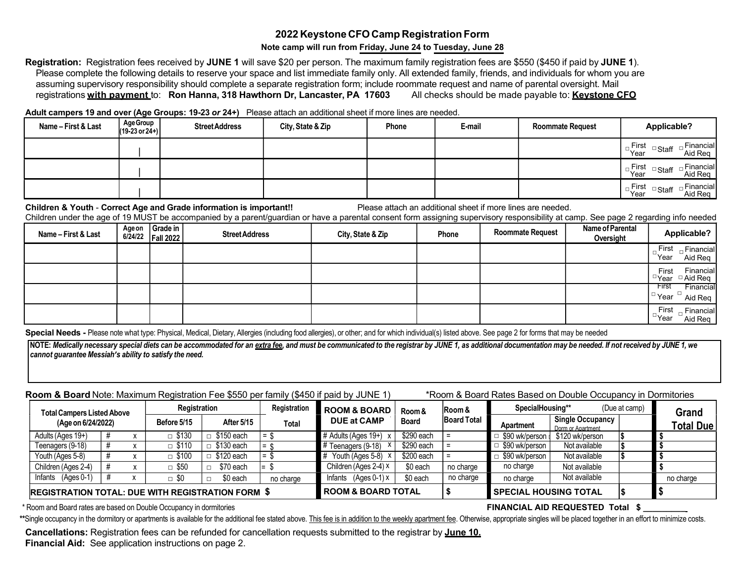# 2022 Keystone CFO Camp Registration Form

#### Note camp will run from Friday, June 24 to Tuesday, June 28

Registration: Registration fees received by JUNE 1 will save \$20 per person. The maximum family registration fees are \$550 (\$450 if paid by JUNE 1). Please complete the following details to reserve your space and list immediate family only. All extended family, friends, and individuals for whom you are assuming supervisory responsibility should complete a separate registration form; include roommate request and name of parental oversight. Mail registrations with payment to: Ron Hanna, 318 Hawthorn Dr, Lancaster, PA 17603 All checks should be made payable to: Keystone CFO

Adult campers 19 and over (Age Groups: 19-23 or 24+) Please attach an additional sheet if more lines are needed.

| Name - First & Last | Age Group<br>$(19-23 or 24+)$ | <b>Street Address</b> | City, State & Zip | Phone | E-mail | <b>Roommate Request</b> | Applicable?                                                                |  |
|---------------------|-------------------------------|-----------------------|-------------------|-------|--------|-------------------------|----------------------------------------------------------------------------|--|
|                     |                               |                       |                   |       |        |                         | First<br>Financial<br>□Staff<br>ັYear<br>Aid Reg                           |  |
|                     |                               |                       |                   |       |        |                         | Financial<br><sub>m</sub> First<br>□Staff<br><sup>'⊣</sup> Year<br>Aid Reg |  |
|                     |                               |                       |                   |       |        |                         | Financial<br>First<br>□Staff<br>Aid Req<br><sup>'⊣</sup> Year              |  |

#### Children & Youth - Correct Age and Grade information is important!! Please attach an additional sheet if more lines are needed.

Children under the age of 19 MUST be accompanied by a parent/guardian or have a parental consent form assigning supervisory responsibility at camp. See page 2 regarding info needed

| Name - First & Last | Age on<br>6/24/22 | Grade in<br><b>Fall 2022</b> | <b>Street Address</b> | City, State & Zip | Phone | <b>Roommate Request</b> | Name of Parental<br>Oversight | Applicable?                                                                 |  |
|---------------------|-------------------|------------------------------|-----------------------|-------------------|-------|-------------------------|-------------------------------|-----------------------------------------------------------------------------|--|
|                     |                   |                              |                       |                   |       |                         |                               | First<br>$\overline{\phantom{a}}$ Financial<br><sup>□</sup> Year<br>Aid Reg |  |
|                     |                   |                              |                       |                   |       |                         |                               | Financial<br>First<br>$\Box$ Aid Req<br>□Year                               |  |
|                     |                   |                              |                       |                   |       |                         |                               | <b>First</b><br>Financial<br>  □ Year □<br>Aid Req                          |  |
|                     |                   |                              |                       |                   |       |                         |                               | First<br>$\overline{\phantom{a}}$ Financial<br><sup>⊔</sup> Year<br>Aid Req |  |

Special Needs - Please note what type: Physical, Medical, Dietary, Allergies (including food allergies), or other; and for which individual(s) listed above. See page 2 for forms that may be needed

NOTE: Medically necessary special diets can be accommodated for an extra fee, and must be communicated to the registrar by JUNE 1, as additional documentation may be needed. If not received by JUNE 1, we cannot guarantee Messiah's ability to satisfy the need.

## Room & Board Note: Maximum Registration Fee \$550 per family (\$450 if paid by JUNE 1) \*Room & Board Rates Based on Double Occupancy in Dormitories

| <b>Total Campers Listed Above</b>                        |  | Registration |                      | Registration         | <b>ROOM &amp; BOARD</b>       | Room &                 | <b>Room &amp;</b> | SpecialHousing**             |                | (Due at camp)                         | Grand |                  |
|----------------------------------------------------------|--|--------------|----------------------|----------------------|-------------------------------|------------------------|-------------------|------------------------------|----------------|---------------------------------------|-------|------------------|
| (Age on 6/24/2022)                                       |  |              | Before 5/15          | After 5/15           | <b>Total</b>                  | <b>DUE at CAMP</b>     | <b>Board</b>      | <b>Board Total</b>           | Apartment      | Single Occupancy<br>Dorm or Apartment |       | <b>Total Due</b> |
| Adults (Ages 19+)                                        |  |              | $\Box$ \$130         | \$150 each<br>$\Box$ | l = \$                        | 4 Adults (Ages 19+)    | \$290 each        | Ξ                            | \$90 wk/person | \$120 wk/person                       |       |                  |
| Teenagers (9-18)                                         |  |              | $\overline{ }$ \$110 | \$130 each<br>П      | $= 0$                         | Teenagers (9-18)       | \$290 each        |                              | \$90 wk/person | Not available                         |       |                  |
| Youth (Ages 5-8)                                         |  |              | \$100                | \$120 each           | l = 15                        | Youth (Ages 5-8)       | \$200 each        | Ξ                            | \$90 wk/person | Not available                         |       |                  |
| Children (Ages 2-4)                                      |  |              | \$50                 | \$70 each<br>$\Box$  | l=.                           | Children (Ages 2-4) X  | \$0 each          | no charge                    | no charge      | Not available                         |       |                  |
| Infants (Ages 0-1)                                       |  |              | $\Box$ \$0           | \$0 each             | no charge                     | Infants $(Ages 0-1) x$ | \$0 each          | no charge                    | no charge      | Not available                         |       | no charge        |
| <b>REGISTRATION TOTAL: DUE WITH REGISTRATION FORM \$</b> |  |              |                      |                      | <b>ROOM &amp; BOARD TOTAL</b> |                        |                   | <b>SPECIAL HOUSING TOTAL</b> |                |                                       |       |                  |

\* Room and Board rates are based on Double Occupancy in dormitories FINANCIAL AID REQUESTED Total \$

\*\*Single occupancy in the dormitory or apartments is available for the additional fee stated above. This fee is in addition to the weekly apartment fee. Otherwise, appropriate singles will be placed together in an effort t

Cancellations: Registration fees can be refunded for cancellation requests submitted to the registrar by June 10. Financial Aid: See application instructions on page 2.